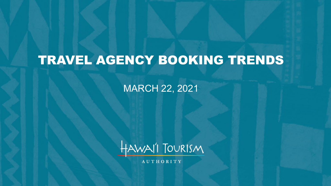# TRAVEL AGENCY BOOKING TRENDS

MARCH 22, 2021



**AUTHORITY**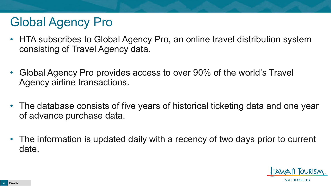# Global Agency Pro

- HTA subscribes to Global Agency Pro, an online travel distribution system consisting of Travel Agency data.
- Global Agency Pro provides access to over 90% of the world's Travel Agency airline transactions.
- The database consists of five years of historical ticketing data and one year of advance purchase data.
- The information is updated daily with a recency of two days prior to current date.

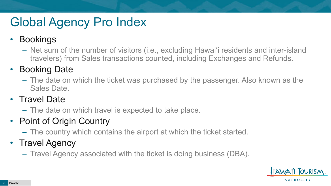# Global Agency Pro Index

### • Bookings

– Net sum of the number of visitors (i.e., excluding Hawai'i residents and inter-island travelers) from Sales transactions counted, including Exchanges and Refunds.

### • Booking Date

– The date on which the ticket was purchased by the passenger. Also known as the Sales Date.

### • Travel Date

– The date on which travel is expected to take place.

## • Point of Origin Country

– The country which contains the airport at which the ticket started.

## • Travel Agency

– Travel Agency associated with the ticket is doing business (DBA).

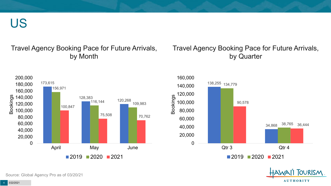US

#### Travel Agency Booking Pace for Future Arrivals, by Month

#### Travel Agency Booking Pace for Future Arrivals, by Quarter







Source: Global Agency Pro as of 03/20/21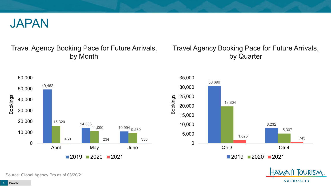

#### Travel Agency Booking Pace for Future Arrivals, by Month

#### Travel Agency Booking Pace for Future Arrivals, by Quarter







Source: Global Agency Pro as of 03/20/21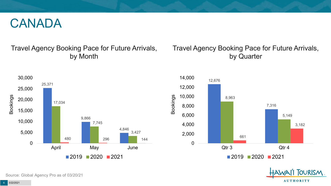## CANADA

#### Travel Agency Booking Pace for Future Arrivals, by Month

#### Travel Agency Booking Pace for Future Arrivals, by Quarter





OURISM.

**AUTHORITY** 

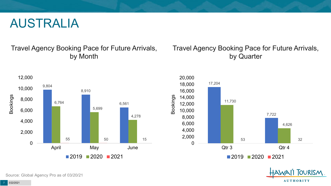## AUSTRALIA

#### Travel Agency Booking Pace for Future Arrivals, by Month

#### Travel Agency Booking Pace for Future Arrivals, by Quarter







Source: Global Agency Pro as of 03/20/21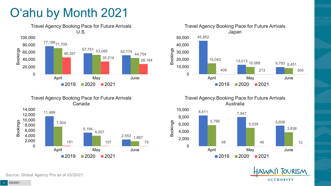# O'ahu by Month 2021









Bookings



**OURISM AUTHORITY** 

Source: Global Agency Pro as of 03/20/21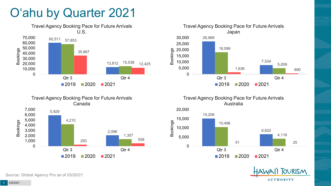# O'ahu by Quarter 2021







Travel Agency Booking Pace for Future Arrivals Australia





Source: Global Agency Pro as of 03/20/21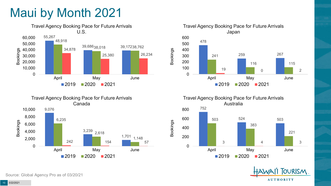# Maui by Month 2021











Source: Global Agency Pro as of 03/20/21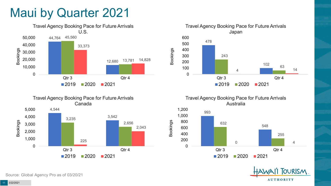## Maui by Quarter 2021









Travel Agency Booking Pace for Future Arrivals Australia



Bookings



Source: Global Agency Pro as of 03/20/21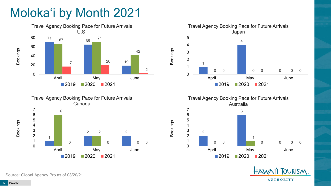# Moloka'i by Month 2021









Bookings



Source: Global Agency Pro as of 03/20/21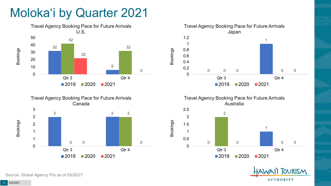# Moloka'i by Quarter 2021









Bookings





Source: Global Agency Pro as of 03/20/21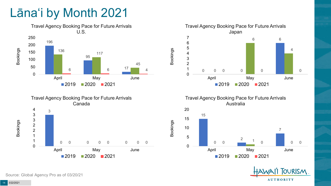# Lāna'i by Month 2021





Travel Agency Booking Pace for Future Arrivals Japan 0  $\Omega$  0 0 0 0 0 April May June 2020 2021

Bookings

Bookings





**OURISM AUTHORITY** 

Source: Global Agency Pro as of 03/20/21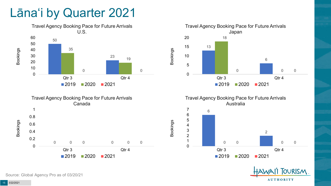## Lāna'i by Quarter 2021





Travel Agency Booking Pace for Future Arrivals Japan 0 0 Qtr 3 Qtr 4 2020 2021

Bookings

Bookings







Source: Global Agency Pro as of 03/20/21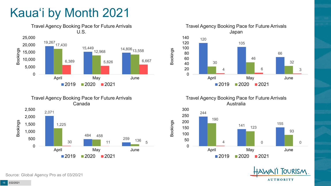# Kaua'i by Month 2021





Travel Agency Booking Pace for Future Arrivals Japan 120 105 66 30 46 32 4 6 3 0 20 40 60 80 100 120 140 April May June  $2019$  2020 2021

Bookings

Bookings

Travel Agency Booking Pace for Future Arrivals Australia





Source: Global Agency Pro as of 03/20/21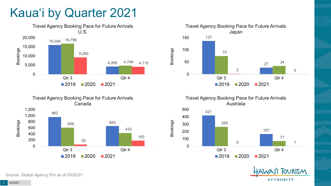# Kaua'i by Quarter 2021







Travel Agency Booking Pace for Future Arrivals Australia





Source: Global Agency Pro as of 03/20/21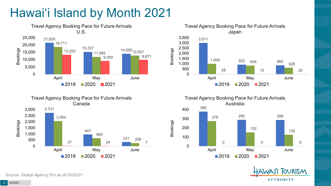# Hawai'i Island by Month 2021











Source: Global Agency Pro as of 03/20/21